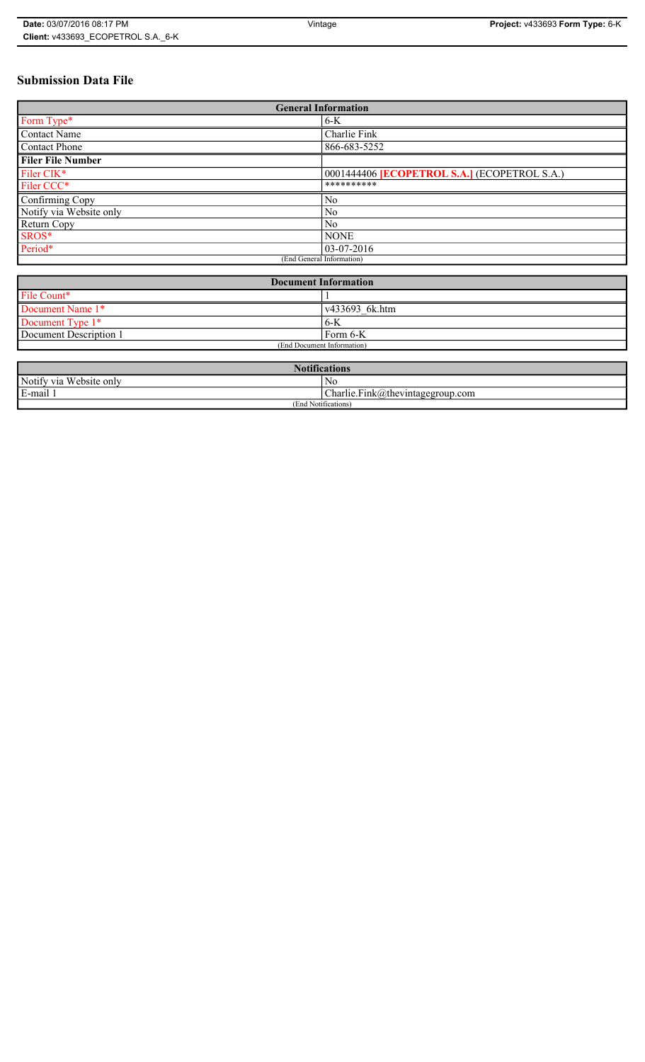# **Submission Data File**

| <b>General Information</b> |                                                   |
|----------------------------|---------------------------------------------------|
| Form Type*                 | $6-K$                                             |
| Contact Name               | Charlie Fink                                      |
| <b>Contact Phone</b>       | 866-683-5252                                      |
| <b>Filer File Number</b>   |                                                   |
| Filer CIK*                 | 0001444406 <b>ECOPETROL S.A.</b> (ECOPETROL S.A.) |
| Filer CCC*                 | **********                                        |
| Confirming Copy            | N <sub>o</sub>                                    |
| Notify via Website only    | No                                                |
| Return Copy                | N <sub>0</sub>                                    |
| SROS*                      | <b>NONE</b>                                       |
| Period*                    | $ 03-07-2016 $                                    |
| (End General Information)  |                                                   |

| <b>Document Information</b> |                |
|-----------------------------|----------------|
| File Count*                 |                |
| Document Name 1*            | v433693 6k.htm |
| Document Type 1*            | 6-K            |
| Document Description 1      | Form 6-K       |
| (End Document Information)  |                |

| <b>Notifications</b>    |                                  |
|-------------------------|----------------------------------|
| Notify via Website only | No                               |
| E-mail                  | Charlie.Fink@thevintagegroup.com |
| (End Notifications)     |                                  |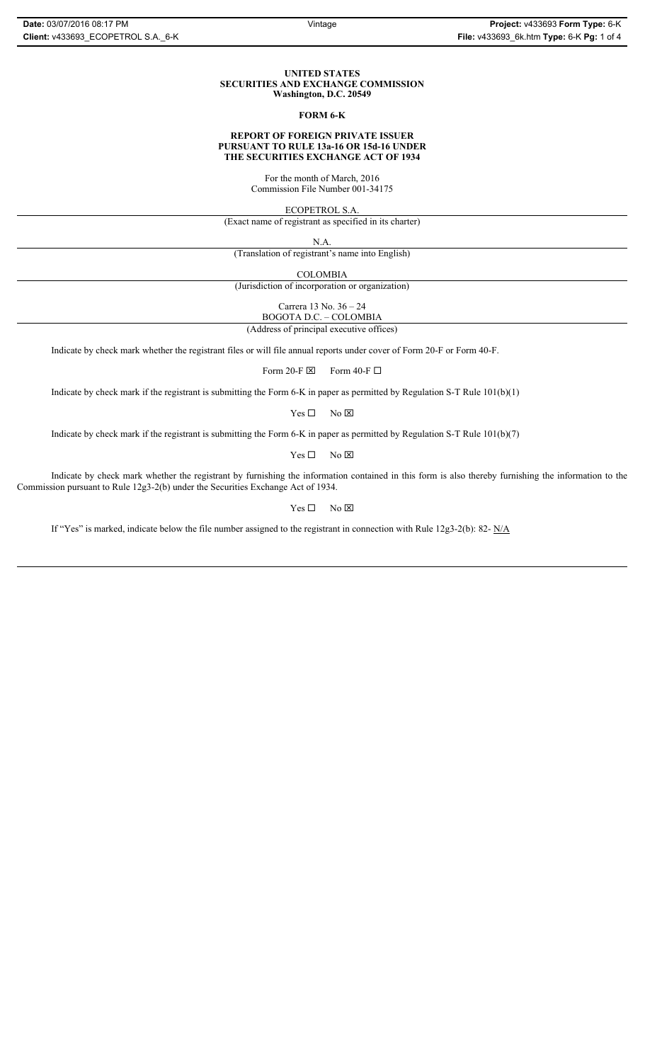#### **UNITED STATES SECURITIES AND EXCHANGE COMMISSION Washington, D.C. 20549**

#### **FORM 6-K**

## **REPORT OF FOREIGN PRIVATE ISSUER PURSUANT TO RULE 13a-16 OR 15d-16 UNDER THE SECURITIES EXCHANGE ACT OF 1934**

For the month of March, 2016 Commission File Number 001-34175

ECOPETROL S.A.

(Exact name of registrant as specified in its charter)

N.A.

(Translation of registrant's name into English)

COLOMBIA

(Jurisdiction of incorporation or organization)

Carrera 13 No. 36 – 24

BOGOTA D.C. – COLOMBIA (Address of principal executive offices)

Indicate by check mark whether the registrant files or will file annual reports under cover of Form 20-F or Form 40-F.

Form 20-F  $\boxtimes$  Form 40-F  $\Box$ 

Indicate by check mark if the registrant is submitting the Form 6-K in paper as permitted by Regulation S-T Rule 101(b)(1)

 $Yes \Box$  No  $\boxtimes$ 

Indicate by check mark if the registrant is submitting the Form 6-K in paper as permitted by Regulation S-T Rule 101(b)(7)

 $Yes \Box$  No  $\boxtimes$ 

Indicate by check mark whether the registrant by furnishing the information contained in this form is also thereby furnishing the information to the Commission pursuant to Rule 12g3-2(b) under the Securities Exchange Act of 1934.

 $Yes \Box$  No  $\boxtimes$ 

If "Yes" is marked, indicate below the file number assigned to the registrant in connection with Rule 12g3-2(b): 82- N/A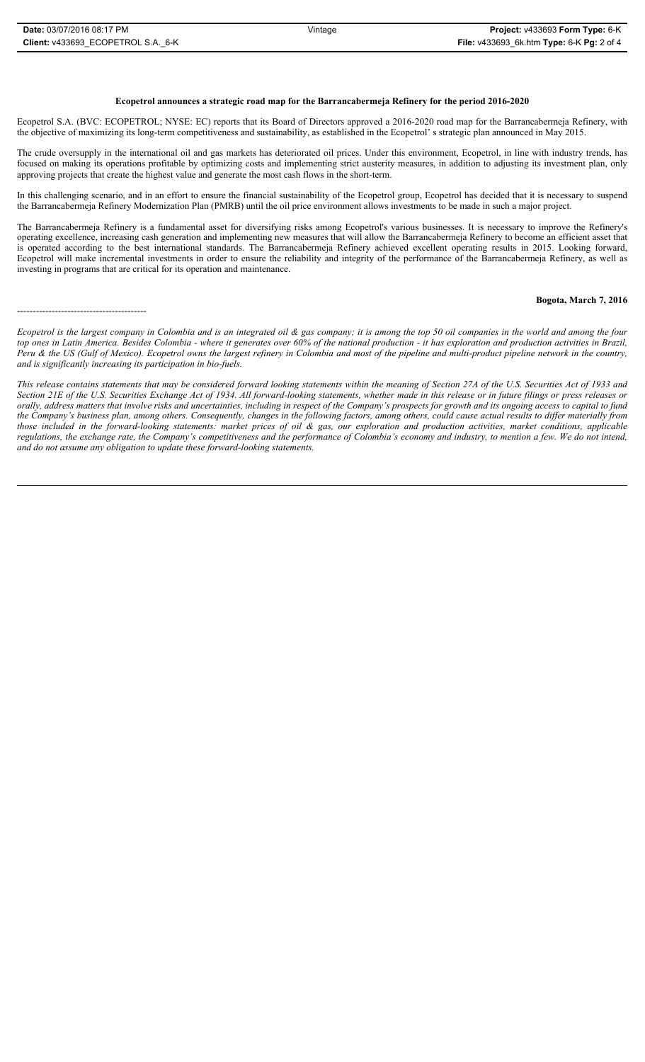#### **Ecopetrol announces a strategic road map for the Barrancabermeja Refinery for the period 2016-2020**

Ecopetrol S.A. (BVC: ECOPETROL; NYSE: EC) reports that its Board of Directors approved a 2016-2020 road map for the Barrancabermeja Refinery, with the objective of maximizing its long-term competitiveness and sustainability, as established in the Ecopetrol' s strategic plan announced in May 2015.

The crude oversupply in the international oil and gas markets has deteriorated oil prices. Under this environment, Ecopetrol, in line with industry trends, has focused on making its operations profitable by optimizing costs and implementing strict austerity measures, in addition to adjusting its investment plan, only approving projects that create the highest value and generate the most cash flows in the short-term.

In this challenging scenario, and in an effort to ensure the financial sustainability of the Ecopetrol group, Ecopetrol has decided that it is necessary to suspend the Barrancabermeja Refinery Modernization Plan (PMRB) until the oil price environment allows investments to be made in such a major project.

The Barrancabermeja Refinery is a fundamental asset for diversifying risks among Ecopetrol's various businesses. It is necessary to improve the Refinery's operating excellence, increasing cash generation and implementing new measures that will allow the Barrancabermeja Refinery to become an efficient asset that is operated according to the best international standards. The Barrancabermeja Refinery achieved excellent operating results in 2015. Looking forward, Ecopetrol will make incremental investments in order to ensure the reliability and integrity of the performance of the Barrancabermeja Refinery, as well as investing in programs that are critical for its operation and maintenance.

### **Bogota, March 7, 2016**

-----------------------------------------

*Ecopetrol is the largest company in Colombia and is an integrated oil & gas company; it is among the top 50 oil companies in the world and among the four top ones in Latin America. Besides Colombia - where it generates over 60% of the national production - it has exploration and production activities in Brazil, Peru & the US (Gulf of Mexico). Ecopetrol owns the largest refinery in Colombia and most of the pipeline and multi-product pipeline network in the country, and is significantly increasing its participation in bio-fuels.*

*This release contains statements that may be considered forward looking statements within the meaning of Section 27A of the U.S. Securities Act of 1933 and Section 21E of the U.S. Securities Exchange Act of 1934. All forward-looking statements, whether made in this release or in future filings or press releases or orally, address matters that involve risks and uncertainties, including in respect of the Company's prospects for growth and its ongoing access to capital to fund the Company's business plan, among others. Consequently, changes in the following factors, among others, could cause actual results to differ materially from those included in the forward-looking statements: market prices of oil & gas, our exploration and production activities, market conditions, applicable regulations, the exchange rate, the Company's competitiveness and the performance of Colombia's economy and industry, to mention a few. We do not intend, and do not assume any obligation to update these forward-looking statements.*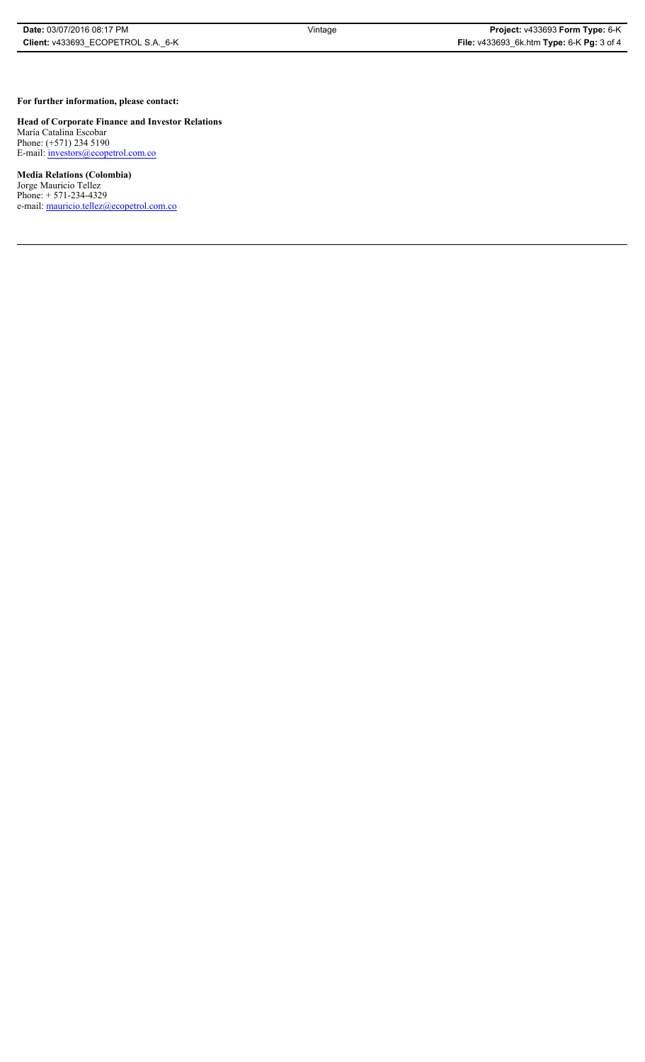**For further information, please contact:** 

**Head of Corporate Finance and Investor Relations** María Catalina Escobar

Phone: (+571) 234 5190 E-mail: *investors@ecopetrol.com.co* 

**Media Relations (Colombia)**  Jorge Mauricio Tellez Phone: + 571-234-4329 e-mail: mauricio.tellez@ecopetrol.com.co